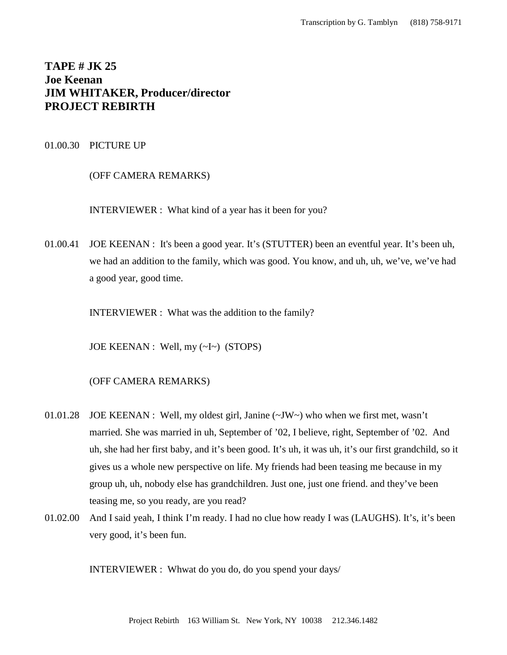# **TAPE # JK 25 Joe Keenan JIM WHITAKER, Producer/director PROJECT REBIRTH**

# 01.00.30 PICTURE UP

# (OFF CAMERA REMARKS)

INTERVIEWER : What kind of a year has it been for you?

01.00.41 JOE KEENAN : It's been a good year. It's (STUTTER) been an eventful year. It's been uh, we had an addition to the family, which was good. You know, and uh, uh, we've, we've had a good year, good time.

INTERVIEWER : What was the addition to the family?

JOE KEENAN : Well, my (~I~) (STOPS)

# (OFF CAMERA REMARKS)

- 01.01.28 JOE KEENAN : Well, my oldest girl, Janine (~JW~) who when we first met, wasn't married. She was married in uh, September of '02, I believe, right, September of '02. And uh, she had her first baby, and it's been good. It's uh, it was uh, it's our first grandchild, so it gives us a whole new perspective on life. My friends had been teasing me because in my group uh, uh, nobody else has grandchildren. Just one, just one friend. and they've been teasing me, so you ready, are you read?
- 01.02.00 And I said yeah, I think I'm ready. I had no clue how ready I was (LAUGHS). It's, it's been very good, it's been fun.

INTERVIEWER : Whwat do you do, do you spend your days/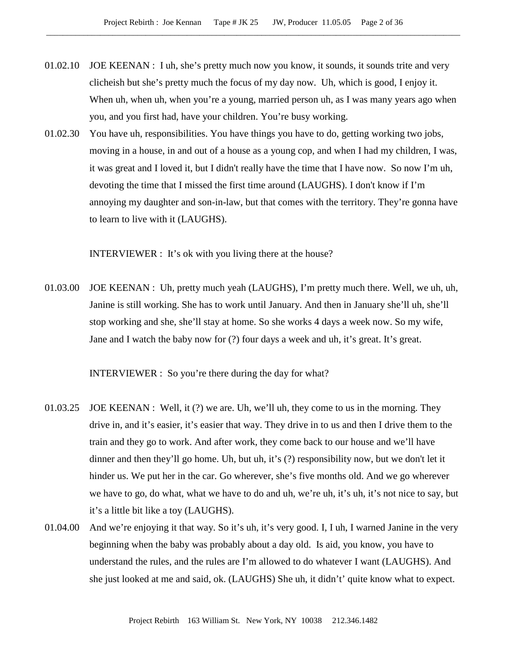- 01.02.10 JOE KEENAN : I uh, she's pretty much now you know, it sounds, it sounds trite and very clicheish but she's pretty much the focus of my day now. Uh, which is good, I enjoy it. When uh, when uh, when you're a young, married person uh, as I was many years ago when you, and you first had, have your children. You're busy working.
- 01.02.30 You have uh, responsibilities. You have things you have to do, getting working two jobs, moving in a house, in and out of a house as a young cop, and when I had my children, I was, it was great and I loved it, but I didn't really have the time that I have now. So now I'm uh, devoting the time that I missed the first time around (LAUGHS). I don't know if I'm annoying my daughter and son-in-law, but that comes with the territory. They're gonna have to learn to live with it (LAUGHS).

INTERVIEWER : It's ok with you living there at the house?

01.03.00 JOE KEENAN : Uh, pretty much yeah (LAUGHS), I'm pretty much there. Well, we uh, uh, Janine is still working. She has to work until January. And then in January she'll uh, she'll stop working and she, she'll stay at home. So she works 4 days a week now. So my wife, Jane and I watch the baby now for (?) four days a week and uh, it's great. It's great.

INTERVIEWER : So you're there during the day for what?

- 01.03.25 JOE KEENAN : Well, it (?) we are. Uh, we'll uh, they come to us in the morning. They drive in, and it's easier, it's easier that way. They drive in to us and then I drive them to the train and they go to work. And after work, they come back to our house and we'll have dinner and then they'll go home. Uh, but uh, it's (?) responsibility now, but we don't let it hinder us. We put her in the car. Go wherever, she's five months old. And we go wherever we have to go, do what, what we have to do and uh, we're uh, it's uh, it's not nice to say, but it's a little bit like a toy (LAUGHS).
- 01.04.00 And we're enjoying it that way. So it's uh, it's very good. I, I uh, I warned Janine in the very beginning when the baby was probably about a day old. Is aid, you know, you have to understand the rules, and the rules are I'm allowed to do whatever I want (LAUGHS). And she just looked at me and said, ok. (LAUGHS) She uh, it didn't' quite know what to expect.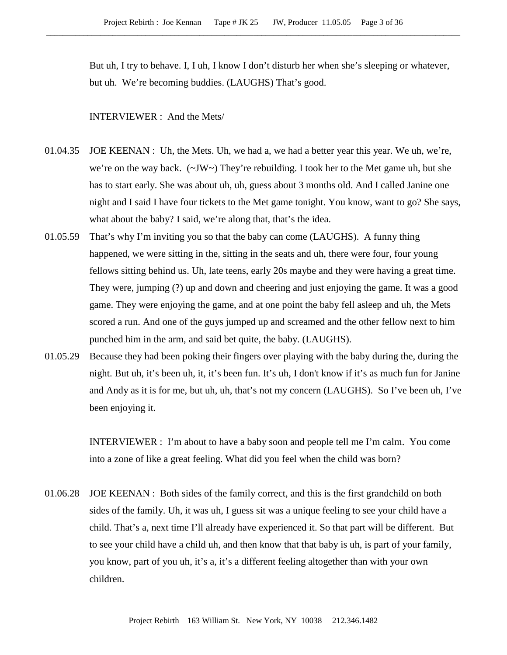But uh, I try to behave. I, I uh, I know I don't disturb her when she's sleeping or whatever, but uh. We're becoming buddies. (LAUGHS) That's good.

## INTERVIEWER : And the Mets/

- 01.04.35 JOE KEENAN : Uh, the Mets. Uh, we had a, we had a better year this year. We uh, we're, we're on the way back. (~JW~) They're rebuilding. I took her to the Met game uh, but she has to start early. She was about uh, uh, guess about 3 months old. And I called Janine one night and I said I have four tickets to the Met game tonight. You know, want to go? She says, what about the baby? I said, we're along that, that's the idea.
- 01.05.59 That's why I'm inviting you so that the baby can come (LAUGHS). A funny thing happened, we were sitting in the, sitting in the seats and uh, there were four, four young fellows sitting behind us. Uh, late teens, early 20s maybe and they were having a great time. They were, jumping (?) up and down and cheering and just enjoying the game. It was a good game. They were enjoying the game, and at one point the baby fell asleep and uh, the Mets scored a run. And one of the guys jumped up and screamed and the other fellow next to him punched him in the arm, and said bet quite, the baby. (LAUGHS).
- 01.05.29 Because they had been poking their fingers over playing with the baby during the, during the night. But uh, it's been uh, it, it's been fun. It's uh, I don't know if it's as much fun for Janine and Andy as it is for me, but uh, uh, that's not my concern (LAUGHS). So I've been uh, I've been enjoying it.

INTERVIEWER : I'm about to have a baby soon and people tell me I'm calm. You come into a zone of like a great feeling. What did you feel when the child was born?

01.06.28 JOE KEENAN : Both sides of the family correct, and this is the first grandchild on both sides of the family. Uh, it was uh, I guess sit was a unique feeling to see your child have a child. That's a, next time I'll already have experienced it. So that part will be different. But to see your child have a child uh, and then know that that baby is uh, is part of your family, you know, part of you uh, it's a, it's a different feeling altogether than with your own children.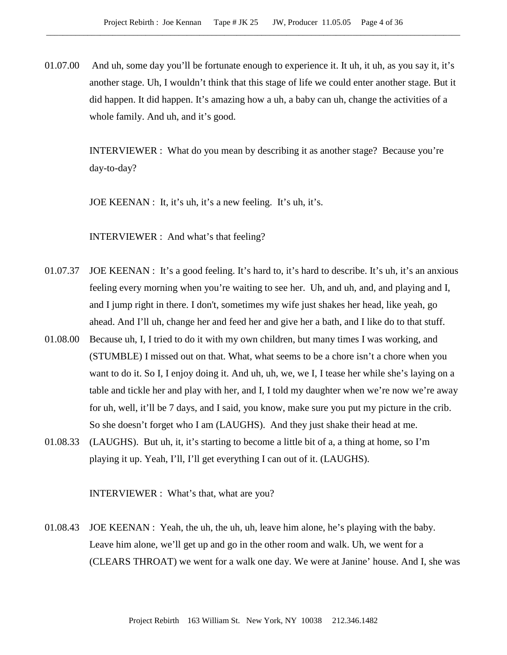01.07.00 And uh, some day you'll be fortunate enough to experience it. It uh, it uh, as you say it, it's another stage. Uh, I wouldn't think that this stage of life we could enter another stage. But it did happen. It did happen. It's amazing how a uh, a baby can uh, change the activities of a whole family. And uh, and it's good.

> INTERVIEWER : What do you mean by describing it as another stage? Because you're day-to-day?

JOE KEENAN : It, it's uh, it's a new feeling. It's uh, it's.

INTERVIEWER : And what's that feeling?

- 01.07.37 JOE KEENAN : It's a good feeling. It's hard to, it's hard to describe. It's uh, it's an anxious feeling every morning when you're waiting to see her. Uh, and uh, and, and playing and I, and I jump right in there. I don't, sometimes my wife just shakes her head, like yeah, go ahead. And I'll uh, change her and feed her and give her a bath, and I like do to that stuff.
- 01.08.00 Because uh, I, I tried to do it with my own children, but many times I was working, and (STUMBLE) I missed out on that. What, what seems to be a chore isn't a chore when you want to do it. So I, I enjoy doing it. And uh, uh, we, we I, I tease her while she's laying on a table and tickle her and play with her, and I, I told my daughter when we're now we're away for uh, well, it'll be 7 days, and I said, you know, make sure you put my picture in the crib. So she doesn't forget who I am (LAUGHS). And they just shake their head at me.
- 01.08.33 (LAUGHS). But uh, it, it's starting to become a little bit of a, a thing at home, so I'm playing it up. Yeah, I'll, I'll get everything I can out of it. (LAUGHS).

INTERVIEWER : What's that, what are you?

01.08.43 JOE KEENAN : Yeah, the uh, the uh, uh, leave him alone, he's playing with the baby. Leave him alone, we'll get up and go in the other room and walk. Uh, we went for a (CLEARS THROAT) we went for a walk one day. We were at Janine' house. And I, she was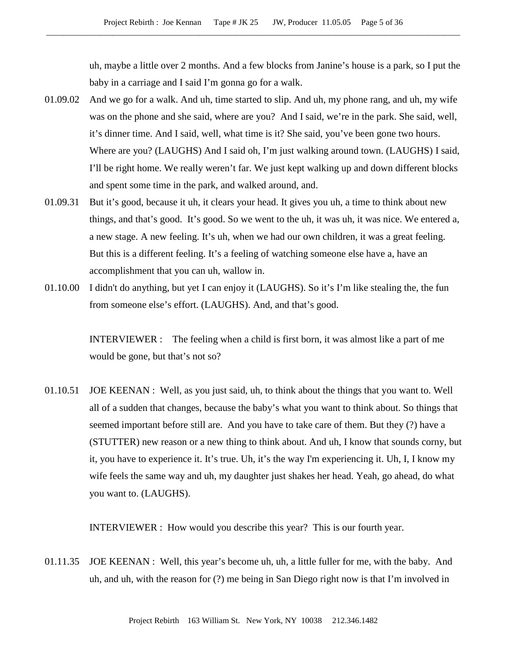uh, maybe a little over 2 months. And a few blocks from Janine's house is a park, so I put the baby in a carriage and I said I'm gonna go for a walk.

- 01.09.02 And we go for a walk. And uh, time started to slip. And uh, my phone rang, and uh, my wife was on the phone and she said, where are you? And I said, we're in the park. She said, well, it's dinner time. And I said, well, what time is it? She said, you've been gone two hours. Where are you? (LAUGHS) And I said oh, I'm just walking around town. (LAUGHS) I said, I'll be right home. We really weren't far. We just kept walking up and down different blocks and spent some time in the park, and walked around, and.
- 01.09.31 But it's good, because it uh, it clears your head. It gives you uh, a time to think about new things, and that's good. It's good. So we went to the uh, it was uh, it was nice. We entered a, a new stage. A new feeling. It's uh, when we had our own children, it was a great feeling. But this is a different feeling. It's a feeling of watching someone else have a, have an accomplishment that you can uh, wallow in.
- 01.10.00 I didn't do anything, but yet I can enjoy it (LAUGHS). So it's I'm like stealing the, the fun from someone else's effort. (LAUGHS). And, and that's good.

INTERVIEWER : The feeling when a child is first born, it was almost like a part of me would be gone, but that's not so?

01.10.51 JOE KEENAN : Well, as you just said, uh, to think about the things that you want to. Well all of a sudden that changes, because the baby's what you want to think about. So things that seemed important before still are. And you have to take care of them. But they (?) have a (STUTTER) new reason or a new thing to think about. And uh, I know that sounds corny, but it, you have to experience it. It's true. Uh, it's the way I'm experiencing it. Uh, I, I know my wife feels the same way and uh, my daughter just shakes her head. Yeah, go ahead, do what you want to. (LAUGHS).

INTERVIEWER : How would you describe this year? This is our fourth year.

01.11.35 JOE KEENAN : Well, this year's become uh, uh, a little fuller for me, with the baby. And uh, and uh, with the reason for (?) me being in San Diego right now is that I'm involved in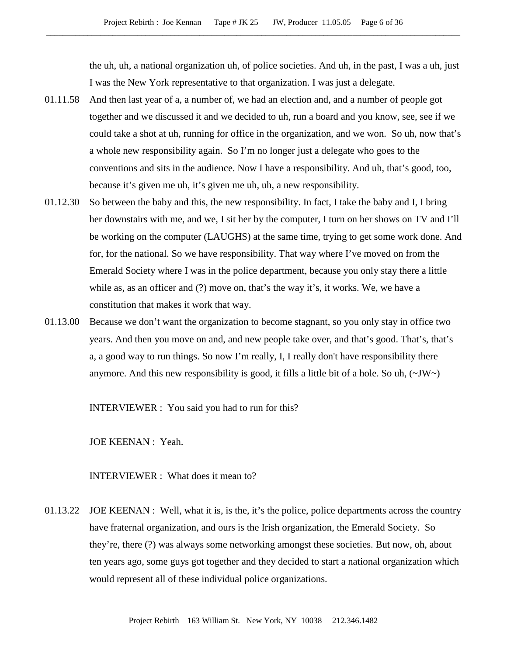the uh, uh, a national organization uh, of police societies. And uh, in the past, I was a uh, just I was the New York representative to that organization. I was just a delegate.

- 01.11.58 And then last year of a, a number of, we had an election and, and a number of people got together and we discussed it and we decided to uh, run a board and you know, see, see if we could take a shot at uh, running for office in the organization, and we won. So uh, now that's a whole new responsibility again. So I'm no longer just a delegate who goes to the conventions and sits in the audience. Now I have a responsibility. And uh, that's good, too, because it's given me uh, it's given me uh, uh, a new responsibility.
- 01.12.30 So between the baby and this, the new responsibility. In fact, I take the baby and I, I bring her downstairs with me, and we, I sit her by the computer, I turn on her shows on TV and I'll be working on the computer (LAUGHS) at the same time, trying to get some work done. And for, for the national. So we have responsibility. That way where I've moved on from the Emerald Society where I was in the police department, because you only stay there a little while as, as an officer and (?) move on, that's the way it's, it works. We, we have a constitution that makes it work that way.
- 01.13.00 Because we don't want the organization to become stagnant, so you only stay in office two years. And then you move on and, and new people take over, and that's good. That's, that's a, a good way to run things. So now I'm really, I, I really don't have responsibility there anymore. And this new responsibility is good, it fills a little bit of a hole. So uh,  $(\sim JW)$

INTERVIEWER : You said you had to run for this?

JOE KEENAN : Yeah.

INTERVIEWER : What does it mean to?

01.13.22 JOE KEENAN : Well, what it is, is the, it's the police, police departments across the country have fraternal organization, and ours is the Irish organization, the Emerald Society. So they're, there (?) was always some networking amongst these societies. But now, oh, about ten years ago, some guys got together and they decided to start a national organization which would represent all of these individual police organizations.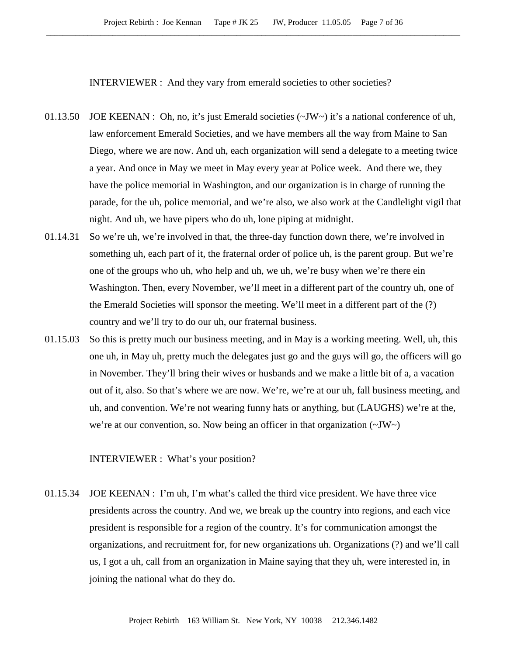INTERVIEWER : And they vary from emerald societies to other societies?

- 01.13.50 JOE KEENAN : Oh, no, it's just Emerald societies  $(\sim JW \sim)$  it's a national conference of uh, law enforcement Emerald Societies, and we have members all the way from Maine to San Diego, where we are now. And uh, each organization will send a delegate to a meeting twice a year. And once in May we meet in May every year at Police week. And there we, they have the police memorial in Washington, and our organization is in charge of running the parade, for the uh, police memorial, and we're also, we also work at the Candlelight vigil that night. And uh, we have pipers who do uh, lone piping at midnight.
- 01.14.31 So we're uh, we're involved in that, the three-day function down there, we're involved in something uh, each part of it, the fraternal order of police uh, is the parent group. But we're one of the groups who uh, who help and uh, we uh, we're busy when we're there ein Washington. Then, every November, we'll meet in a different part of the country uh, one of the Emerald Societies will sponsor the meeting. We'll meet in a different part of the (?) country and we'll try to do our uh, our fraternal business.
- 01.15.03 So this is pretty much our business meeting, and in May is a working meeting. Well, uh, this one uh, in May uh, pretty much the delegates just go and the guys will go, the officers will go in November. They'll bring their wives or husbands and we make a little bit of a, a vacation out of it, also. So that's where we are now. We're, we're at our uh, fall business meeting, and uh, and convention. We're not wearing funny hats or anything, but (LAUGHS) we're at the, we're at our convention, so. Now being an officer in that organization (~JW~)

INTERVIEWER : What's your position?

01.15.34 JOE KEENAN : I'm uh, I'm what's called the third vice president. We have three vice presidents across the country. And we, we break up the country into regions, and each vice president is responsible for a region of the country. It's for communication amongst the organizations, and recruitment for, for new organizations uh. Organizations (?) and we'll call us, I got a uh, call from an organization in Maine saying that they uh, were interested in, in joining the national what do they do.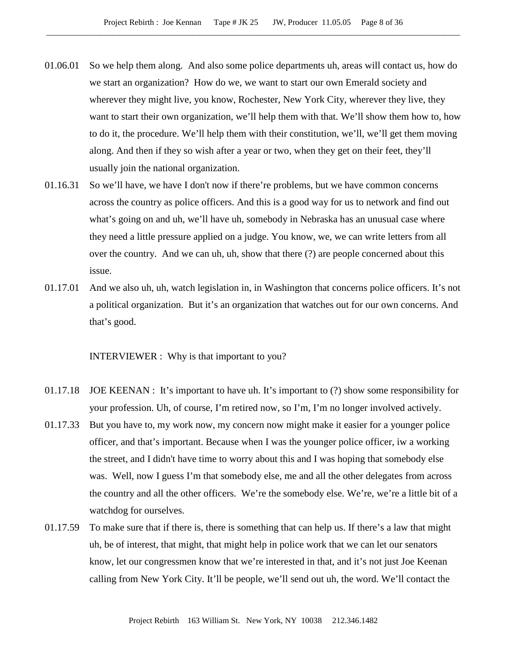- 01.06.01 So we help them along. And also some police departments uh, areas will contact us, how do we start an organization? How do we, we want to start our own Emerald society and wherever they might live, you know, Rochester, New York City, wherever they live, they want to start their own organization, we'll help them with that. We'll show them how to, how to do it, the procedure. We'll help them with their constitution, we'll, we'll get them moving along. And then if they so wish after a year or two, when they get on their feet, they'll usually join the national organization.
- 01.16.31 So we'll have, we have I don't now if there're problems, but we have common concerns across the country as police officers. And this is a good way for us to network and find out what's going on and uh, we'll have uh, somebody in Nebraska has an unusual case where they need a little pressure applied on a judge. You know, we, we can write letters from all over the country. And we can uh, uh, show that there (?) are people concerned about this issue.
- 01.17.01 And we also uh, uh, watch legislation in, in Washington that concerns police officers. It's not a political organization. But it's an organization that watches out for our own concerns. And that's good.

INTERVIEWER : Why is that important to you?

- 01.17.18 JOE KEENAN : It's important to have uh. It's important to (?) show some responsibility for your profession. Uh, of course, I'm retired now, so I'm, I'm no longer involved actively.
- 01.17.33 But you have to, my work now, my concern now might make it easier for a younger police officer, and that's important. Because when I was the younger police officer, iw a working the street, and I didn't have time to worry about this and I was hoping that somebody else was. Well, now I guess I'm that somebody else, me and all the other delegates from across the country and all the other officers. We're the somebody else. We're, we're a little bit of a watchdog for ourselves.
- 01.17.59 To make sure that if there is, there is something that can help us. If there's a law that might uh, be of interest, that might, that might help in police work that we can let our senators know, let our congressmen know that we're interested in that, and it's not just Joe Keenan calling from New York City. It'll be people, we'll send out uh, the word. We'll contact the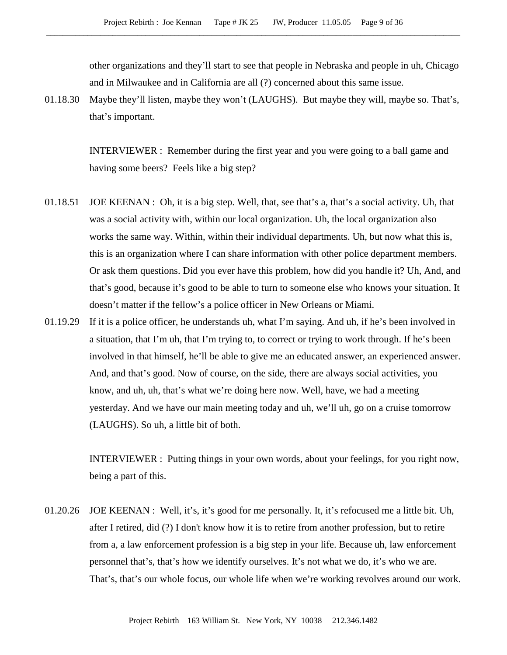other organizations and they'll start to see that people in Nebraska and people in uh, Chicago and in Milwaukee and in California are all (?) concerned about this same issue.

01.18.30 Maybe they'll listen, maybe they won't (LAUGHS). But maybe they will, maybe so. That's, that's important.

> INTERVIEWER : Remember during the first year and you were going to a ball game and having some beers? Feels like a big step?

- 01.18.51 JOE KEENAN : Oh, it is a big step. Well, that, see that's a, that's a social activity. Uh, that was a social activity with, within our local organization. Uh, the local organization also works the same way. Within, within their individual departments. Uh, but now what this is, this is an organization where I can share information with other police department members. Or ask them questions. Did you ever have this problem, how did you handle it? Uh, And, and that's good, because it's good to be able to turn to someone else who knows your situation. It doesn't matter if the fellow's a police officer in New Orleans or Miami.
- 01.19.29 If it is a police officer, he understands uh, what I'm saying. And uh, if he's been involved in a situation, that I'm uh, that I'm trying to, to correct or trying to work through. If he's been involved in that himself, he'll be able to give me an educated answer, an experienced answer. And, and that's good. Now of course, on the side, there are always social activities, you know, and uh, uh, that's what we're doing here now. Well, have, we had a meeting yesterday. And we have our main meeting today and uh, we'll uh, go on a cruise tomorrow (LAUGHS). So uh, a little bit of both.

INTERVIEWER : Putting things in your own words, about your feelings, for you right now, being a part of this.

01.20.26 JOE KEENAN : Well, it's, it's good for me personally. It, it's refocused me a little bit. Uh, after I retired, did (?) I don't know how it is to retire from another profession, but to retire from a, a law enforcement profession is a big step in your life. Because uh, law enforcement personnel that's, that's how we identify ourselves. It's not what we do, it's who we are. That's, that's our whole focus, our whole life when we're working revolves around our work.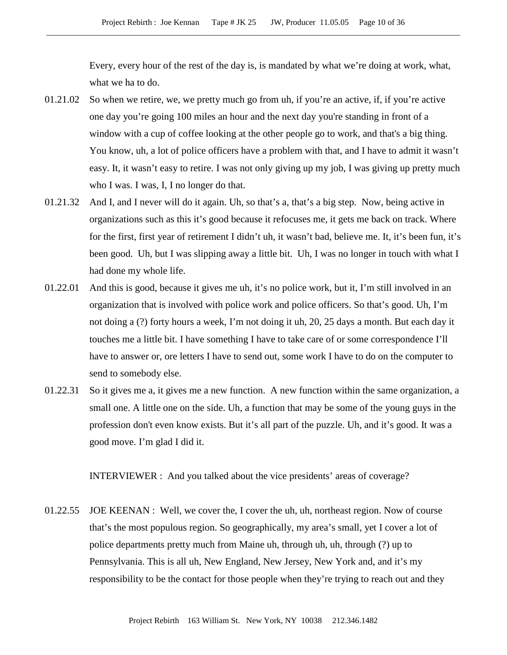Every, every hour of the rest of the day is, is mandated by what we're doing at work, what, what we ha to do.

- 01.21.02 So when we retire, we, we pretty much go from uh, if you're an active, if, if you're active one day you're going 100 miles an hour and the next day you're standing in front of a window with a cup of coffee looking at the other people go to work, and that's a big thing. You know, uh, a lot of police officers have a problem with that, and I have to admit it wasn't easy. It, it wasn't easy to retire. I was not only giving up my job, I was giving up pretty much who I was. I was, I, I no longer do that.
- 01.21.32 And I, and I never will do it again. Uh, so that's a, that's a big step. Now, being active in organizations such as this it's good because it refocuses me, it gets me back on track. Where for the first, first year of retirement I didn't uh, it wasn't bad, believe me. It, it's been fun, it's been good. Uh, but I was slipping away a little bit. Uh, I was no longer in touch with what I had done my whole life.
- 01.22.01 And this is good, because it gives me uh, it's no police work, but it, I'm still involved in an organization that is involved with police work and police officers. So that's good. Uh, I'm not doing a (?) forty hours a week, I'm not doing it uh, 20, 25 days a month. But each day it touches me a little bit. I have something I have to take care of or some correspondence I'll have to answer or, ore letters I have to send out, some work I have to do on the computer to send to somebody else.
- 01.22.31 So it gives me a, it gives me a new function. A new function within the same organization, a small one. A little one on the side. Uh, a function that may be some of the young guys in the profession don't even know exists. But it's all part of the puzzle. Uh, and it's good. It was a good move. I'm glad I did it.

INTERVIEWER : And you talked about the vice presidents' areas of coverage?

01.22.55 JOE KEENAN : Well, we cover the, I cover the uh, uh, northeast region. Now of course that's the most populous region. So geographically, my area's small, yet I cover a lot of police departments pretty much from Maine uh, through uh, uh, through (?) up to Pennsylvania. This is all uh, New England, New Jersey, New York and, and it's my responsibility to be the contact for those people when they're trying to reach out and they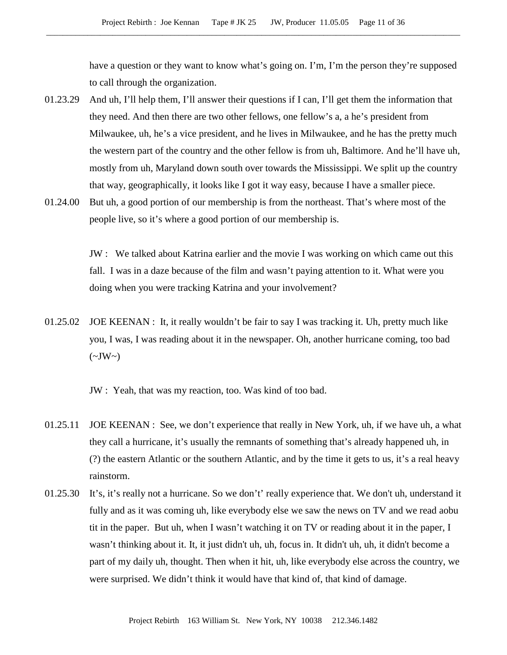have a question or they want to know what's going on. I'm, I'm the person they're supposed to call through the organization.

- 01.23.29 And uh, I'll help them, I'll answer their questions if I can, I'll get them the information that they need. And then there are two other fellows, one fellow's a, a he's president from Milwaukee, uh, he's a vice president, and he lives in Milwaukee, and he has the pretty much the western part of the country and the other fellow is from uh, Baltimore. And he'll have uh, mostly from uh, Maryland down south over towards the Mississippi. We split up the country that way, geographically, it looks like I got it way easy, because I have a smaller piece.
- 01.24.00 But uh, a good portion of our membership is from the northeast. That's where most of the people live, so it's where a good portion of our membership is.

JW : We talked about Katrina earlier and the movie I was working on which came out this fall. I was in a daze because of the film and wasn't paying attention to it. What were you doing when you were tracking Katrina and your involvement?

01.25.02 JOE KEENAN : It, it really wouldn't be fair to say I was tracking it. Uh, pretty much like you, I was, I was reading about it in the newspaper. Oh, another hurricane coming, too bad  $(\sim JW \sim)$ 

JW : Yeah, that was my reaction, too. Was kind of too bad.

- 01.25.11 JOE KEENAN : See, we don't experience that really in New York, uh, if we have uh, a what they call a hurricane, it's usually the remnants of something that's already happened uh, in (?) the eastern Atlantic or the southern Atlantic, and by the time it gets to us, it's a real heavy rainstorm.
- 01.25.30 It's, it's really not a hurricane. So we don't' really experience that. We don't uh, understand it fully and as it was coming uh, like everybody else we saw the news on TV and we read aobu tit in the paper. But uh, when I wasn't watching it on TV or reading about it in the paper, I wasn't thinking about it. It, it just didn't uh, uh, focus in. It didn't uh, uh, it didn't become a part of my daily uh, thought. Then when it hit, uh, like everybody else across the country, we were surprised. We didn't think it would have that kind of, that kind of damage.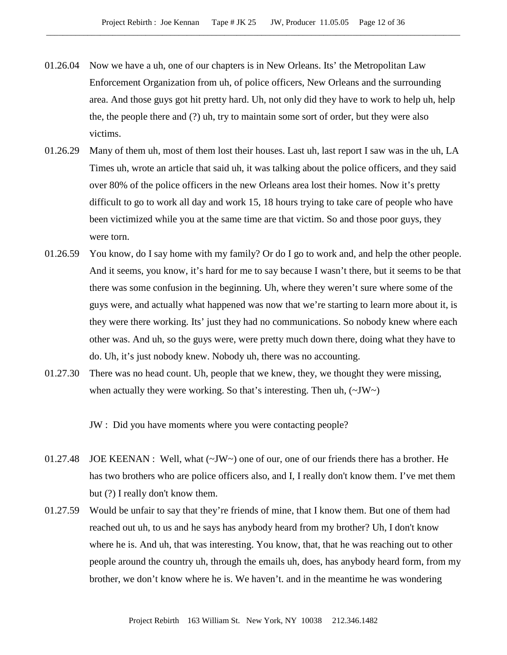- 01.26.04 Now we have a uh, one of our chapters is in New Orleans. Its' the Metropolitan Law Enforcement Organization from uh, of police officers, New Orleans and the surrounding area. And those guys got hit pretty hard. Uh, not only did they have to work to help uh, help the, the people there and (?) uh, try to maintain some sort of order, but they were also victims.
- 01.26.29 Many of them uh, most of them lost their houses. Last uh, last report I saw was in the uh, LA Times uh, wrote an article that said uh, it was talking about the police officers, and they said over 80% of the police officers in the new Orleans area lost their homes. Now it's pretty difficult to go to work all day and work 15, 18 hours trying to take care of people who have been victimized while you at the same time are that victim. So and those poor guys, they were torn.
- 01.26.59 You know, do I say home with my family? Or do I go to work and, and help the other people. And it seems, you know, it's hard for me to say because I wasn't there, but it seems to be that there was some confusion in the beginning. Uh, where they weren't sure where some of the guys were, and actually what happened was now that we're starting to learn more about it, is they were there working. Its' just they had no communications. So nobody knew where each other was. And uh, so the guys were, were pretty much down there, doing what they have to do. Uh, it's just nobody knew. Nobody uh, there was no accounting.
- 01.27.30 There was no head count. Uh, people that we knew, they, we thought they were missing, when actually they were working. So that's interesting. Then uh,  $(\sim JW)$

JW : Did you have moments where you were contacting people?

- 01.27.48 JOE KEENAN : Well, what  $(\sim JW)$  one of our, one of our friends there has a brother. He has two brothers who are police officers also, and I, I really don't know them. I've met them but (?) I really don't know them.
- 01.27.59 Would be unfair to say that they're friends of mine, that I know them. But one of them had reached out uh, to us and he says has anybody heard from my brother? Uh, I don't know where he is. And uh, that was interesting. You know, that, that he was reaching out to other people around the country uh, through the emails uh, does, has anybody heard form, from my brother, we don't know where he is. We haven't. and in the meantime he was wondering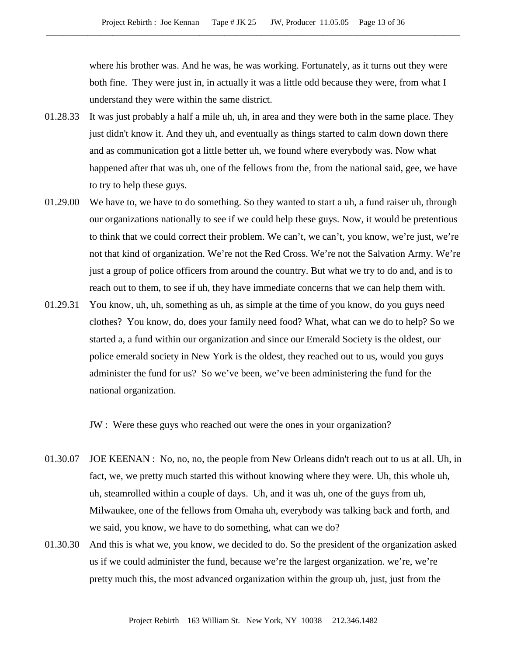where his brother was. And he was, he was working. Fortunately, as it turns out they were both fine. They were just in, in actually it was a little odd because they were, from what I understand they were within the same district.

- 01.28.33 It was just probably a half a mile uh, uh, in area and they were both in the same place. They just didn't know it. And they uh, and eventually as things started to calm down down there and as communication got a little better uh, we found where everybody was. Now what happened after that was uh, one of the fellows from the, from the national said, gee, we have to try to help these guys.
- 01.29.00 We have to, we have to do something. So they wanted to start a uh, a fund raiser uh, through our organizations nationally to see if we could help these guys. Now, it would be pretentious to think that we could correct their problem. We can't, we can't, you know, we're just, we're not that kind of organization. We're not the Red Cross. We're not the Salvation Army. We're just a group of police officers from around the country. But what we try to do and, and is to reach out to them, to see if uh, they have immediate concerns that we can help them with.
- 01.29.31 You know, uh, uh, something as uh, as simple at the time of you know, do you guys need clothes? You know, do, does your family need food? What, what can we do to help? So we started a, a fund within our organization and since our Emerald Society is the oldest, our police emerald society in New York is the oldest, they reached out to us, would you guys administer the fund for us? So we've been, we've been administering the fund for the national organization.

JW : Were these guys who reached out were the ones in your organization?

- 01.30.07 JOE KEENAN : No, no, no, the people from New Orleans didn't reach out to us at all. Uh, in fact, we, we pretty much started this without knowing where they were. Uh, this whole uh, uh, steamrolled within a couple of days. Uh, and it was uh, one of the guys from uh, Milwaukee, one of the fellows from Omaha uh, everybody was talking back and forth, and we said, you know, we have to do something, what can we do?
- 01.30.30 And this is what we, you know, we decided to do. So the president of the organization asked us if we could administer the fund, because we're the largest organization. we're, we're pretty much this, the most advanced organization within the group uh, just, just from the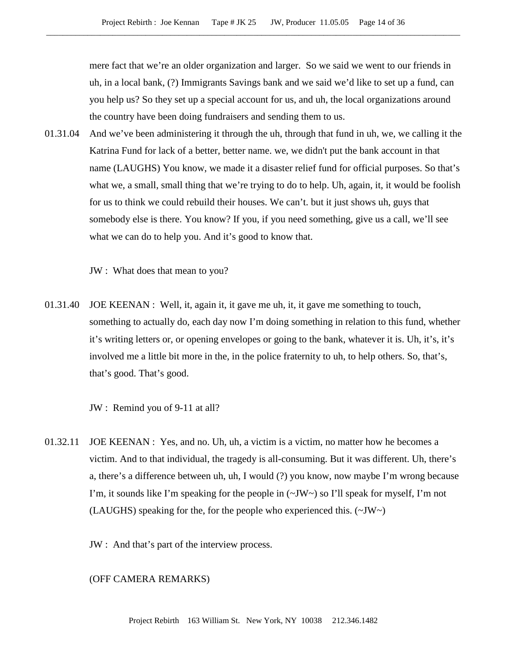mere fact that we're an older organization and larger. So we said we went to our friends in uh, in a local bank, (?) Immigrants Savings bank and we said we'd like to set up a fund, can you help us? So they set up a special account for us, and uh, the local organizations around the country have been doing fundraisers and sending them to us.

01.31.04 And we've been administering it through the uh, through that fund in uh, we, we calling it the Katrina Fund for lack of a better, better name. we, we didn't put the bank account in that name (LAUGHS) You know, we made it a disaster relief fund for official purposes. So that's what we, a small, small thing that we're trying to do to help. Uh, again, it, it would be foolish for us to think we could rebuild their houses. We can't. but it just shows uh, guys that somebody else is there. You know? If you, if you need something, give us a call, we'll see what we can do to help you. And it's good to know that.

JW : What does that mean to you?

01.31.40 JOE KEENAN : Well, it, again it, it gave me uh, it, it gave me something to touch, something to actually do, each day now I'm doing something in relation to this fund, whether it's writing letters or, or opening envelopes or going to the bank, whatever it is. Uh, it's, it's involved me a little bit more in the, in the police fraternity to uh, to help others. So, that's, that's good. That's good.

JW : Remind you of 9-11 at all?

01.32.11 JOE KEENAN : Yes, and no. Uh, uh, a victim is a victim, no matter how he becomes a victim. And to that individual, the tragedy is all-consuming. But it was different. Uh, there's a, there's a difference between uh, uh, I would (?) you know, now maybe I'm wrong because I'm, it sounds like I'm speaking for the people in  $(\sim JW)$  so I'll speak for myself, I'm not (LAUGHS) speaking for the, for the people who experienced this. (~JW~)

JW : And that's part of the interview process.

## (OFF CAMERA REMARKS)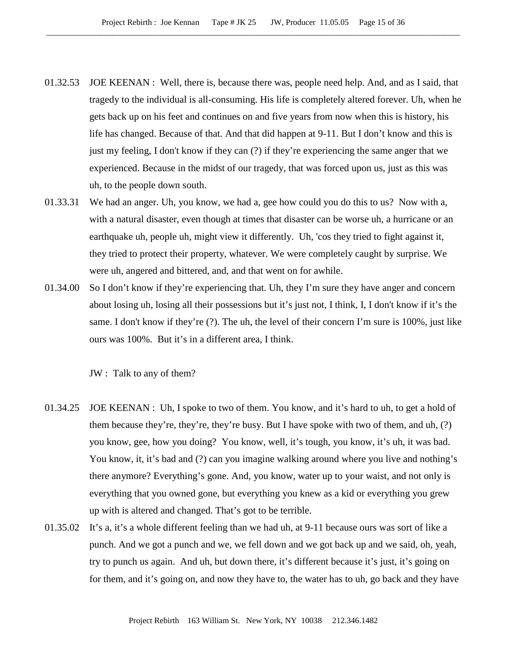- 01.32.53 JOE KEENAN : Well, there is, because there was, people need help. And, and as I said, that tragedy to the individual is all-consuming. His life is completely altered forever. Uh, when he gets back up on his feet and continues on and five years from now when this is history, his life has changed. Because of that. And that did happen at 9-11. But I don't know and this is just my feeling, I don't know if they can (?) if they're experiencing the same anger that we experienced. Because in the midst of our tragedy, that was forced upon us, just as this was uh, to the people down south.
- 01.33.31 We had an anger. Uh, you know, we had a, gee how could you do this to us? Now with a, with a natural disaster, even though at times that disaster can be worse uh, a hurricane or an earthquake uh, people uh, might view it differently. Uh, 'cos they tried to fight against it, they tried to protect their property, whatever. We were completely caught by surprise. We were uh, angered and bittered, and, and that went on for awhile.
- 01.34.00 So I don't know if they're experiencing that. Uh, they I'm sure they have anger and concern about losing uh, losing all their possessions but it's just not, I think, I, I don't know if it's the same. I don't know if they're (?). The uh, the level of their concern I'm sure is 100%, just like ours was 100%. But it's in a different area, I think.

JW : Talk to any of them?

- 01.34.25 JOE KEENAN : Uh, I spoke to two of them. You know, and it's hard to uh, to get a hold of them because they're, they're, they're busy. But I have spoke with two of them, and uh, (?) you know, gee, how you doing? You know, well, it's tough, you know, it's uh, it was bad. You know, it, it's bad and (?) can you imagine walking around where you live and nothing's there anymore? Everything's gone. And, you know, water up to your waist, and not only is everything that you owned gone, but everything you knew as a kid or everything you grew up with is altered and changed. That's got to be terrible.
- 01.35.02 It's a, it's a whole different feeling than we had uh, at 9-11 because ours was sort of like a punch. And we got a punch and we, we fell down and we got back up and we said, oh, yeah, try to punch us again. And uh, but down there, it's different because it's just, it's going on for them, and it's going on, and now they have to, the water has to uh, go back and they have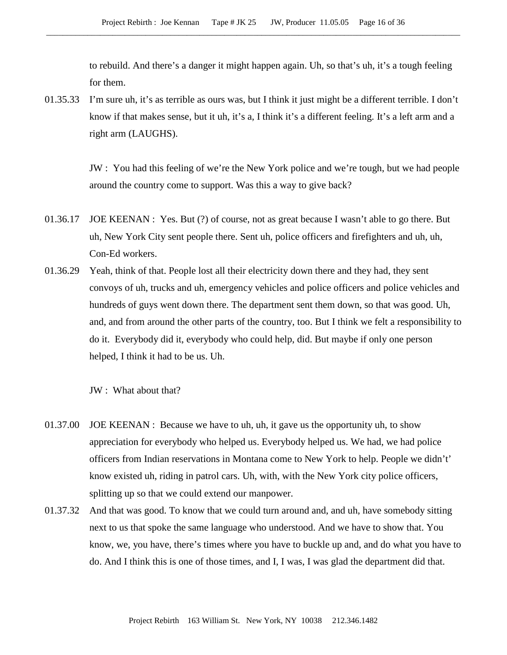to rebuild. And there's a danger it might happen again. Uh, so that's uh, it's a tough feeling for them.

01.35.33 I'm sure uh, it's as terrible as ours was, but I think it just might be a different terrible. I don't know if that makes sense, but it uh, it's a, I think it's a different feeling. It's a left arm and a right arm (LAUGHS).

> JW : You had this feeling of we're the New York police and we're tough, but we had people around the country come to support. Was this a way to give back?

- 01.36.17 JOE KEENAN : Yes. But (?) of course, not as great because I wasn't able to go there. But uh, New York City sent people there. Sent uh, police officers and firefighters and uh, uh, Con-Ed workers.
- 01.36.29 Yeah, think of that. People lost all their electricity down there and they had, they sent convoys of uh, trucks and uh, emergency vehicles and police officers and police vehicles and hundreds of guys went down there. The department sent them down, so that was good. Uh, and, and from around the other parts of the country, too. But I think we felt a responsibility to do it. Everybody did it, everybody who could help, did. But maybe if only one person helped, I think it had to be us. Uh.

JW : What about that?

- 01.37.00 JOE KEENAN : Because we have to uh, uh, it gave us the opportunity uh, to show appreciation for everybody who helped us. Everybody helped us. We had, we had police officers from Indian reservations in Montana come to New York to help. People we didn't' know existed uh, riding in patrol cars. Uh, with, with the New York city police officers, splitting up so that we could extend our manpower.
- 01.37.32 And that was good. To know that we could turn around and, and uh, have somebody sitting next to us that spoke the same language who understood. And we have to show that. You know, we, you have, there's times where you have to buckle up and, and do what you have to do. And I think this is one of those times, and I, I was, I was glad the department did that.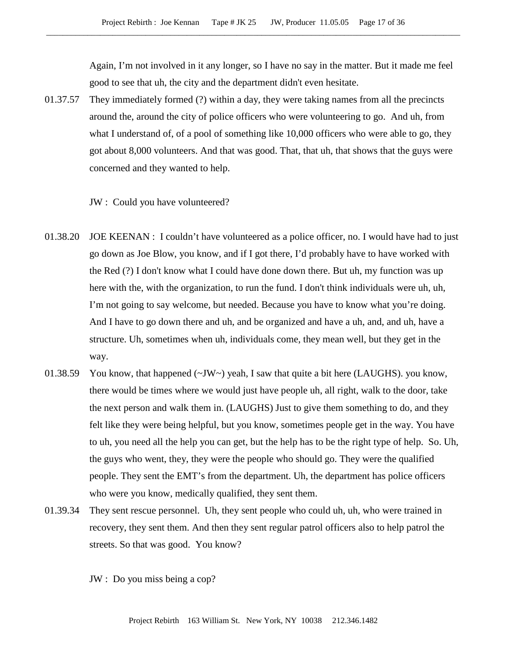Again, I'm not involved in it any longer, so I have no say in the matter. But it made me feel good to see that uh, the city and the department didn't even hesitate.

01.37.57 They immediately formed (?) within a day, they were taking names from all the precincts around the, around the city of police officers who were volunteering to go. And uh, from what I understand of, of a pool of something like 10,000 officers who were able to go, they got about 8,000 volunteers. And that was good. That, that uh, that shows that the guys were concerned and they wanted to help.

JW : Could you have volunteered?

- 01.38.20 JOE KEENAN : I couldn't have volunteered as a police officer, no. I would have had to just go down as Joe Blow, you know, and if I got there, I'd probably have to have worked with the Red (?) I don't know what I could have done down there. But uh, my function was up here with the, with the organization, to run the fund. I don't think individuals were uh, uh, I'm not going to say welcome, but needed. Because you have to know what you're doing. And I have to go down there and uh, and be organized and have a uh, and, and uh, have a structure. Uh, sometimes when uh, individuals come, they mean well, but they get in the way.
- 01.38.59 You know, that happened  $(\sim JW \sim)$  yeah, I saw that quite a bit here (LAUGHS). you know, there would be times where we would just have people uh, all right, walk to the door, take the next person and walk them in. (LAUGHS) Just to give them something to do, and they felt like they were being helpful, but you know, sometimes people get in the way. You have to uh, you need all the help you can get, but the help has to be the right type of help. So. Uh, the guys who went, they, they were the people who should go. They were the qualified people. They sent the EMT's from the department. Uh, the department has police officers who were you know, medically qualified, they sent them.
- 01.39.34 They sent rescue personnel. Uh, they sent people who could uh, uh, who were trained in recovery, they sent them. And then they sent regular patrol officers also to help patrol the streets. So that was good. You know?

JW : Do you miss being a cop?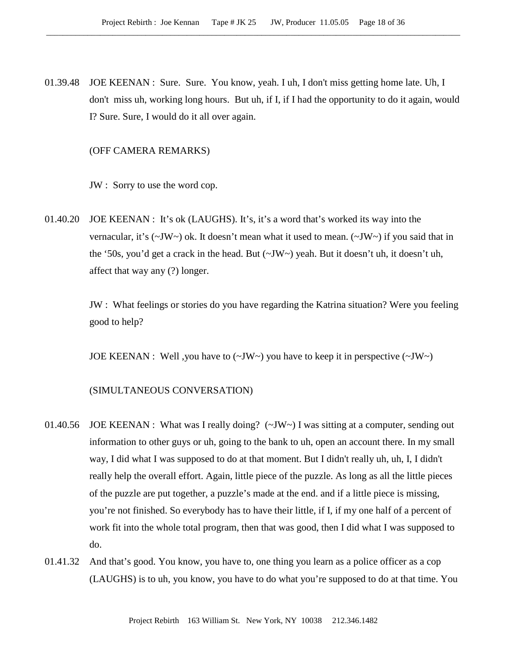01.39.48 JOE KEENAN : Sure. Sure. You know, yeah. I uh, I don't miss getting home late. Uh, I don't miss uh, working long hours. But uh, if I, if I had the opportunity to do it again, would I? Sure. Sure, I would do it all over again.

#### (OFF CAMERA REMARKS)

JW : Sorry to use the word cop.

01.40.20 JOE KEENAN : It's ok (LAUGHS). It's, it's a word that's worked its way into the vernacular, it's  $(\sim JW \sim)$  ok. It doesn't mean what it used to mean.  $(\sim JW \sim)$  if you said that in the '50s, you'd get a crack in the head. But  $(\sim JW \sim)$  yeah. But it doesn't uh, it doesn't uh, affect that way any (?) longer.

> JW : What feelings or stories do you have regarding the Katrina situation? Were you feeling good to help?

JOE KEENAN : Well, you have to  $(\sim JW \sim)$  you have to keep it in perspective  $(\sim JW \sim)$ 

#### (SIMULTANEOUS CONVERSATION)

- 01.40.56 JOE KEENAN : What was I really doing? (~JW~) I was sitting at a computer, sending out information to other guys or uh, going to the bank to uh, open an account there. In my small way, I did what I was supposed to do at that moment. But I didn't really uh, uh, I, I didn't really help the overall effort. Again, little piece of the puzzle. As long as all the little pieces of the puzzle are put together, a puzzle's made at the end. and if a little piece is missing, you're not finished. So everybody has to have their little, if I, if my one half of a percent of work fit into the whole total program, then that was good, then I did what I was supposed to do.
- 01.41.32 And that's good. You know, you have to, one thing you learn as a police officer as a cop (LAUGHS) is to uh, you know, you have to do what you're supposed to do at that time. You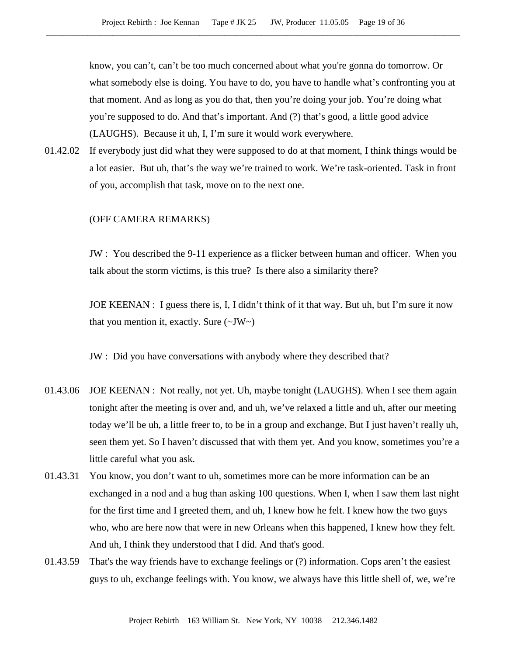know, you can't, can't be too much concerned about what you're gonna do tomorrow. Or what somebody else is doing. You have to do, you have to handle what's confronting you at that moment. And as long as you do that, then you're doing your job. You're doing what you're supposed to do. And that's important. And (?) that's good, a little good advice (LAUGHS). Because it uh, I, I'm sure it would work everywhere.

01.42.02 If everybody just did what they were supposed to do at that moment, I think things would be a lot easier. But uh, that's the way we're trained to work. We're task-oriented. Task in front of you, accomplish that task, move on to the next one.

## (OFF CAMERA REMARKS)

JW : You described the 9-11 experience as a flicker between human and officer. When you talk about the storm victims, is this true? Is there also a similarity there?

JOE KEENAN : I guess there is, I, I didn't think of it that way. But uh, but I'm sure it now that you mention it, exactly. Sure  $(\sim JW \sim)$ 

JW : Did you have conversations with anybody where they described that?

- 01.43.06 JOE KEENAN : Not really, not yet. Uh, maybe tonight (LAUGHS). When I see them again tonight after the meeting is over and, and uh, we've relaxed a little and uh, after our meeting today we'll be uh, a little freer to, to be in a group and exchange. But I just haven't really uh, seen them yet. So I haven't discussed that with them yet. And you know, sometimes you're a little careful what you ask.
- 01.43.31 You know, you don't want to uh, sometimes more can be more information can be an exchanged in a nod and a hug than asking 100 questions. When I, when I saw them last night for the first time and I greeted them, and uh, I knew how he felt. I knew how the two guys who, who are here now that were in new Orleans when this happened, I knew how they felt. And uh, I think they understood that I did. And that's good.
- 01.43.59 That's the way friends have to exchange feelings or (?) information. Cops aren't the easiest guys to uh, exchange feelings with. You know, we always have this little shell of, we, we're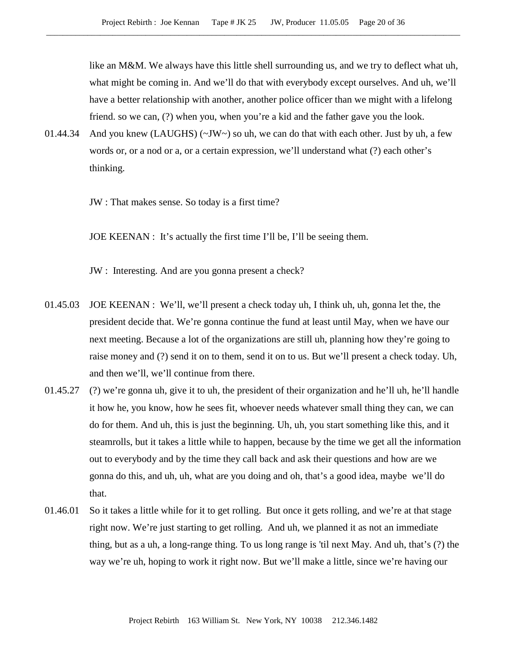like an M&M. We always have this little shell surrounding us, and we try to deflect what uh, what might be coming in. And we'll do that with everybody except ourselves. And uh, we'll have a better relationship with another, another police officer than we might with a lifelong friend. so we can, (?) when you, when you're a kid and the father gave you the look.

01.44.34 And you knew (LAUGHS)  $(\sim JW \sim)$  so uh, we can do that with each other. Just by uh, a few words or, or a nod or a, or a certain expression, we'll understand what (?) each other's thinking.

JW : That makes sense. So today is a first time?

JOE KEENAN : It's actually the first time I'll be, I'll be seeing them.

JW : Interesting. And are you gonna present a check?

- 01.45.03 JOE KEENAN : We'll, we'll present a check today uh, I think uh, uh, gonna let the, the president decide that. We're gonna continue the fund at least until May, when we have our next meeting. Because a lot of the organizations are still uh, planning how they're going to raise money and (?) send it on to them, send it on to us. But we'll present a check today. Uh, and then we'll, we'll continue from there.
- 01.45.27 (?) we're gonna uh, give it to uh, the president of their organization and he'll uh, he'll handle it how he, you know, how he sees fit, whoever needs whatever small thing they can, we can do for them. And uh, this is just the beginning. Uh, uh, you start something like this, and it steamrolls, but it takes a little while to happen, because by the time we get all the information out to everybody and by the time they call back and ask their questions and how are we gonna do this, and uh, uh, what are you doing and oh, that's a good idea, maybe we'll do that.
- 01.46.01 So it takes a little while for it to get rolling. But once it gets rolling, and we're at that stage right now. We're just starting to get rolling. And uh, we planned it as not an immediate thing, but as a uh, a long-range thing. To us long range is 'til next May. And uh, that's (?) the way we're uh, hoping to work it right now. But we'll make a little, since we're having our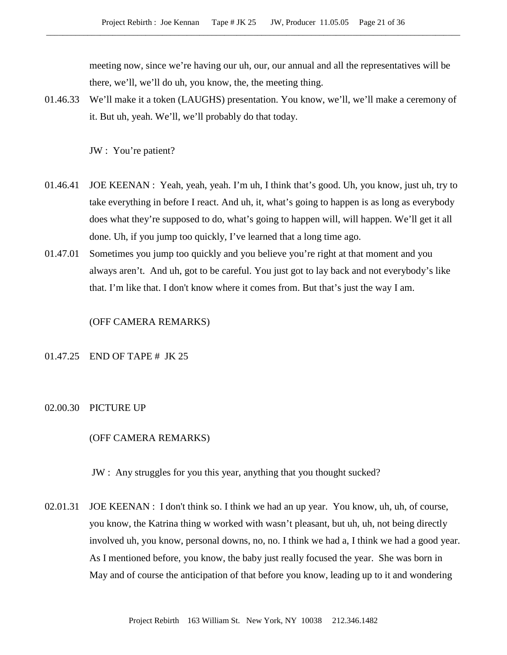meeting now, since we're having our uh, our, our annual and all the representatives will be there, we'll, we'll do uh, you know, the, the meeting thing.

01.46.33 We'll make it a token (LAUGHS) presentation. You know, we'll, we'll make a ceremony of it. But uh, yeah. We'll, we'll probably do that today.

JW : You're patient?

- 01.46.41 JOE KEENAN : Yeah, yeah, yeah. I'm uh, I think that's good. Uh, you know, just uh, try to take everything in before I react. And uh, it, what's going to happen is as long as everybody does what they're supposed to do, what's going to happen will, will happen. We'll get it all done. Uh, if you jump too quickly, I've learned that a long time ago.
- 01.47.01 Sometimes you jump too quickly and you believe you're right at that moment and you always aren't. And uh, got to be careful. You just got to lay back and not everybody's like that. I'm like that. I don't know where it comes from. But that's just the way I am.

#### (OFF CAMERA REMARKS)

## 01.47.25 END OF TAPE # JK 25

02.00.30 PICTURE UP

#### (OFF CAMERA REMARKS)

JW : Any struggles for you this year, anything that you thought sucked?

02.01.31 JOE KEENAN : I don't think so. I think we had an up year. You know, uh, uh, of course, you know, the Katrina thing w worked with wasn't pleasant, but uh, uh, not being directly involved uh, you know, personal downs, no, no. I think we had a, I think we had a good year. As I mentioned before, you know, the baby just really focused the year. She was born in May and of course the anticipation of that before you know, leading up to it and wondering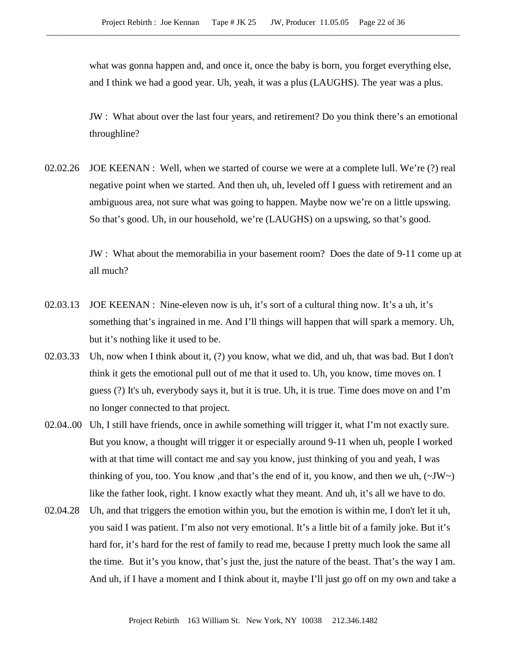what was gonna happen and, and once it, once the baby is born, you forget everything else, and I think we had a good year. Uh, yeah, it was a plus (LAUGHS). The year was a plus.

JW : What about over the last four years, and retirement? Do you think there's an emotional throughline?

02.02.26 JOE KEENAN : Well, when we started of course we were at a complete lull. We're (?) real negative point when we started. And then uh, uh, leveled off I guess with retirement and an ambiguous area, not sure what was going to happen. Maybe now we're on a little upswing. So that's good. Uh, in our household, we're (LAUGHS) on a upswing, so that's good.

> JW : What about the memorabilia in your basement room? Does the date of 9-11 come up at all much?

- 02.03.13 JOE KEENAN : Nine-eleven now is uh, it's sort of a cultural thing now. It's a uh, it's something that's ingrained in me. And I'll things will happen that will spark a memory. Uh, but it's nothing like it used to be.
- 02.03.33 Uh, now when I think about it, (?) you know, what we did, and uh, that was bad. But I don't think it gets the emotional pull out of me that it used to. Uh, you know, time moves on. I guess (?) It's uh, everybody says it, but it is true. Uh, it is true. Time does move on and I'm no longer connected to that project.
- 02.04..00 Uh, I still have friends, once in awhile something will trigger it, what I'm not exactly sure. But you know, a thought will trigger it or especially around 9-11 when uh, people I worked with at that time will contact me and say you know, just thinking of you and yeah, I was thinking of you, too. You know ,and that's the end of it, you know, and then we uh,  $(\sim JW \sim)$ like the father look, right. I know exactly what they meant. And uh, it's all we have to do.
- 02.04.28 Uh, and that triggers the emotion within you, but the emotion is within me, I don't let it uh, you said I was patient. I'm also not very emotional. It's a little bit of a family joke. But it's hard for, it's hard for the rest of family to read me, because I pretty much look the same all the time. But it's you know, that's just the, just the nature of the beast. That's the way I am. And uh, if I have a moment and I think about it, maybe I'll just go off on my own and take a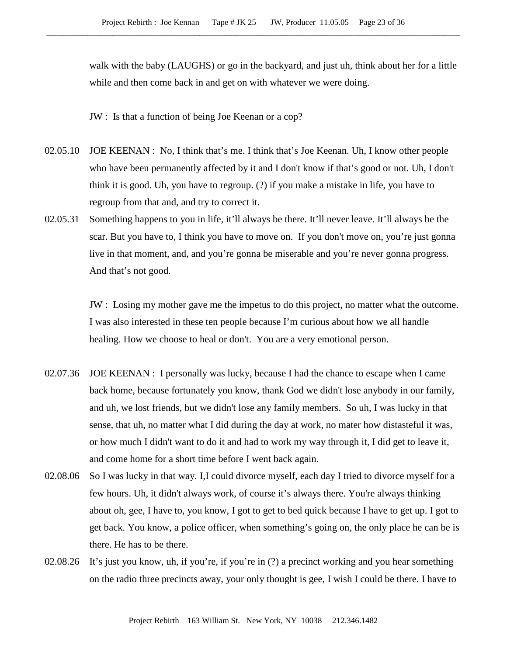walk with the baby (LAUGHS) or go in the backyard, and just uh, think about her for a little while and then come back in and get on with whatever we were doing.

JW : Is that a function of being Joe Keenan or a cop?

- 02.05.10 JOE KEENAN : No, I think that's me. I think that's Joe Keenan. Uh, I know other people who have been permanently affected by it and I don't know if that's good or not. Uh, I don't think it is good. Uh, you have to regroup. (?) if you make a mistake in life, you have to regroup from that and, and try to correct it.
- 02.05.31 Something happens to you in life, it'll always be there. It'll never leave. It'll always be the scar. But you have to, I think you have to move on. If you don't move on, you're just gonna live in that moment, and, and you're gonna be miserable and you're never gonna progress. And that's not good.

JW : Losing my mother gave me the impetus to do this project, no matter what the outcome. I was also interested in these ten people because I'm curious about how we all handle healing. How we choose to heal or don't. You are a very emotional person.

- 02.07.36 JOE KEENAN : I personally was lucky, because I had the chance to escape when I came back home, because fortunately you know, thank God we didn't lose anybody in our family, and uh, we lost friends, but we didn't lose any family members. So uh, I was lucky in that sense, that uh, no matter what I did during the day at work, no mater how distasteful it was, or how much I didn't want to do it and had to work my way through it, I did get to leave it, and come home for a short time before I went back again.
- 02.08.06 So I was lucky in that way. I,I could divorce myself, each day I tried to divorce myself for a few hours. Uh, it didn't always work, of course it's always there. You're always thinking about oh, gee, I have to, you know, I got to get to bed quick because I have to get up. I got to get back. You know, a police officer, when something's going on, the only place he can be is there. He has to be there.
- 02.08.26 It's just you know, uh, if you're, if you're in (?) a precinct working and you hear something on the radio three precincts away, your only thought is gee, I wish I could be there. I have to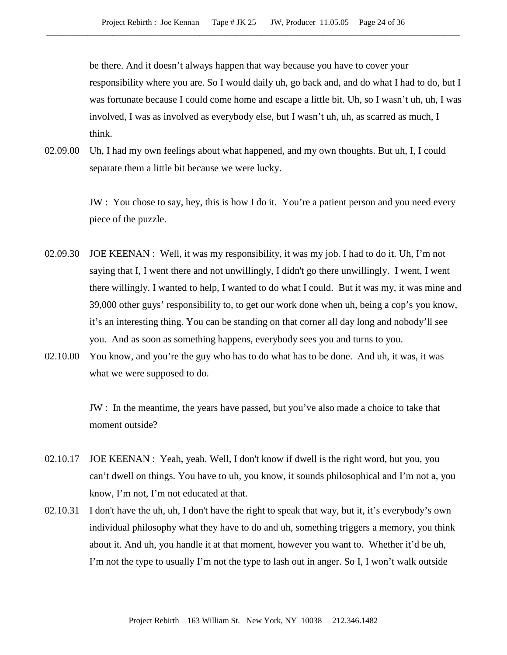be there. And it doesn't always happen that way because you have to cover your responsibility where you are. So I would daily uh, go back and, and do what I had to do, but I was fortunate because I could come home and escape a little bit. Uh, so I wasn't uh, uh, I was involved, I was as involved as everybody else, but I wasn't uh, uh, as scarred as much, I think.

02.09.00 Uh, I had my own feelings about what happened, and my own thoughts. But uh, I, I could separate them a little bit because we were lucky.

> JW : You chose to say, hey, this is how I do it. You're a patient person and you need every piece of the puzzle.

- 02.09.30 JOE KEENAN : Well, it was my responsibility, it was my job. I had to do it. Uh, I'm not saying that I, I went there and not unwillingly, I didn't go there unwillingly. I went, I went there willingly. I wanted to help, I wanted to do what I could. But it was my, it was mine and 39,000 other guys' responsibility to, to get our work done when uh, being a cop's you know, it's an interesting thing. You can be standing on that corner all day long and nobody'll see you. And as soon as something happens, everybody sees you and turns to you.
- 02.10.00 You know, and you're the guy who has to do what has to be done. And uh, it was, it was what we were supposed to do.

JW : In the meantime, the years have passed, but you've also made a choice to take that moment outside?

- 02.10.17 JOE KEENAN : Yeah, yeah. Well, I don't know if dwell is the right word, but you, you can't dwell on things. You have to uh, you know, it sounds philosophical and I'm not a, you know, I'm not, I'm not educated at that.
- 02.10.31 I don't have the uh, uh, I don't have the right to speak that way, but it, it's everybody's own individual philosophy what they have to do and uh, something triggers a memory, you think about it. And uh, you handle it at that moment, however you want to. Whether it'd be uh, I'm not the type to usually I'm not the type to lash out in anger. So I, I won't walk outside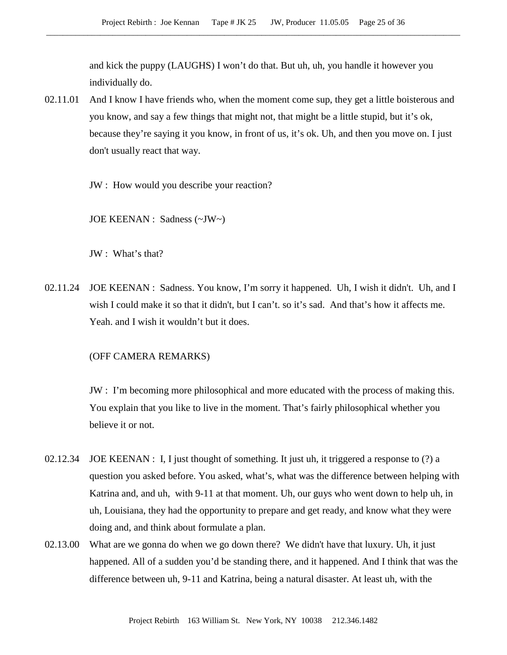and kick the puppy (LAUGHS) I won't do that. But uh, uh, you handle it however you individually do.

02.11.01 And I know I have friends who, when the moment come sup, they get a little boisterous and you know, and say a few things that might not, that might be a little stupid, but it's ok, because they're saying it you know, in front of us, it's ok. Uh, and then you move on. I just don't usually react that way.

JW : How would you describe your reaction?

JOE KEENAN : Sadness (~JW~)

JW : What's that?

02.11.24 JOE KEENAN : Sadness. You know, I'm sorry it happened. Uh, I wish it didn't. Uh, and I wish I could make it so that it didn't, but I can't. so it's sad. And that's how it affects me. Yeah. and I wish it wouldn't but it does.

# (OFF CAMERA REMARKS)

JW : I'm becoming more philosophical and more educated with the process of making this. You explain that you like to live in the moment. That's fairly philosophical whether you believe it or not.

- 02.12.34 JOE KEENAN : I, I just thought of something. It just uh, it triggered a response to (?) a question you asked before. You asked, what's, what was the difference between helping with Katrina and, and uh, with 9-11 at that moment. Uh, our guys who went down to help uh, in uh, Louisiana, they had the opportunity to prepare and get ready, and know what they were doing and, and think about formulate a plan.
- 02.13.00 What are we gonna do when we go down there? We didn't have that luxury. Uh, it just happened. All of a sudden you'd be standing there, and it happened. And I think that was the difference between uh, 9-11 and Katrina, being a natural disaster. At least uh, with the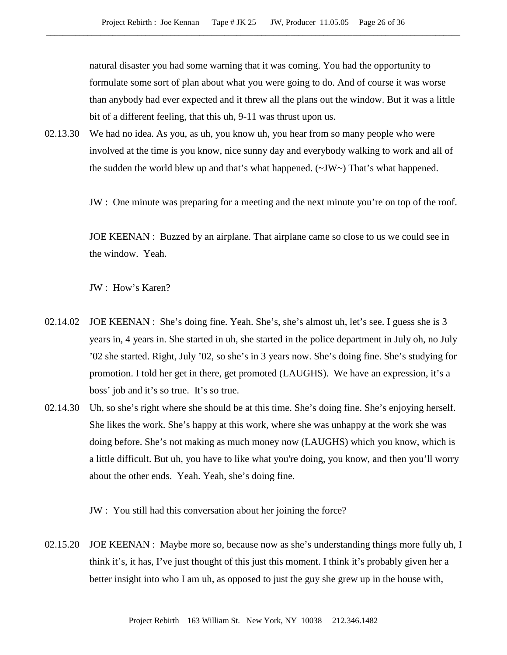natural disaster you had some warning that it was coming. You had the opportunity to formulate some sort of plan about what you were going to do. And of course it was worse than anybody had ever expected and it threw all the plans out the window. But it was a little bit of a different feeling, that this uh, 9-11 was thrust upon us.

02.13.30 We had no idea. As you, as uh, you know uh, you hear from so many people who were involved at the time is you know, nice sunny day and everybody walking to work and all of the sudden the world blew up and that's what happened. (~JW~) That's what happened.

JW : One minute was preparing for a meeting and the next minute you're on top of the roof.

JOE KEENAN : Buzzed by an airplane. That airplane came so close to us we could see in the window. Yeah.

JW : How's Karen?

- 02.14.02 JOE KEENAN : She's doing fine. Yeah. She's, she's almost uh, let's see. I guess she is 3 years in, 4 years in. She started in uh, she started in the police department in July oh, no July '02 she started. Right, July '02, so she's in 3 years now. She's doing fine. She's studying for promotion. I told her get in there, get promoted (LAUGHS). We have an expression, it's a boss' job and it's so true. It's so true.
- 02.14.30 Uh, so she's right where she should be at this time. She's doing fine. She's enjoying herself. She likes the work. She's happy at this work, where she was unhappy at the work she was doing before. She's not making as much money now (LAUGHS) which you know, which is a little difficult. But uh, you have to like what you're doing, you know, and then you'll worry about the other ends. Yeah. Yeah, she's doing fine.

JW : You still had this conversation about her joining the force?

02.15.20 JOE KEENAN : Maybe more so, because now as she's understanding things more fully uh, I think it's, it has, I've just thought of this just this moment. I think it's probably given her a better insight into who I am uh, as opposed to just the guy she grew up in the house with,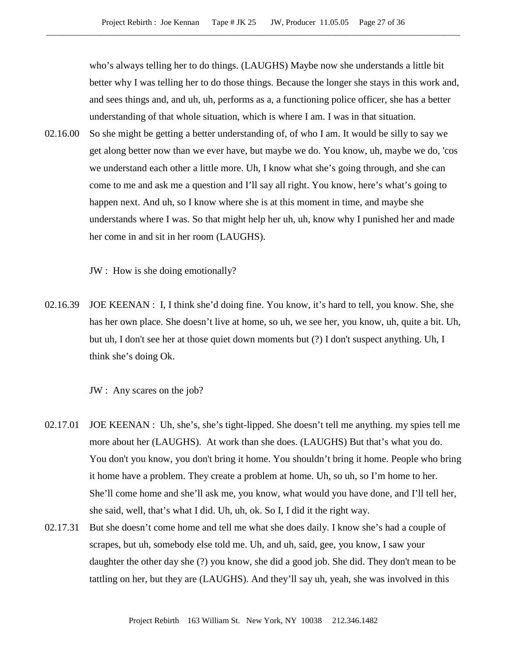who's always telling her to do things. (LAUGHS) Maybe now she understands a little bit better why I was telling her to do those things. Because the longer she stays in this work and, and sees things and, and uh, uh, performs as a, a functioning police officer, she has a better understanding of that whole situation, which is where I am. I was in that situation.

02.16.00 So she might be getting a better understanding of, of who I am. It would be silly to say we get along better now than we ever have, but maybe we do. You know, uh, maybe we do, 'cos we understand each other a little more. Uh, I know what she's going through, and she can come to me and ask me a question and I'll say all right. You know, here's what's going to happen next. And uh, so I know where she is at this moment in time, and maybe she understands where I was. So that might help her uh, uh, know why I punished her and made her come in and sit in her room (LAUGHS).

JW : How is she doing emotionally?

02.16.39 JOE KEENAN : I, I think she'd doing fine. You know, it's hard to tell, you know. She, she has her own place. She doesn't live at home, so uh, we see her, you know, uh, quite a bit. Uh, but uh, I don't see her at those quiet down moments but (?) I don't suspect anything. Uh, I think she's doing Ok.

JW : Any scares on the job?

- 02.17.01 JOE KEENAN : Uh, she's, she's tight-lipped. She doesn't tell me anything. my spies tell me more about her (LAUGHS). At work than she does. (LAUGHS) But that's what you do. You don't you know, you don't bring it home. You shouldn't bring it home. People who bring it home have a problem. They create a problem at home. Uh, so uh, so I'm home to her. She'll come home and she'll ask me, you know, what would you have done, and I'll tell her, she said, well, that's what I did. Uh, uh, ok. So I, I did it the right way.
- 02.17.31 But she doesn't come home and tell me what she does daily. I know she's had a couple of scrapes, but uh, somebody else told me. Uh, and uh, said, gee, you know, I saw your daughter the other day she (?) you know, she did a good job. She did. They don't mean to be tattling on her, but they are (LAUGHS). And they'll say uh, yeah, she was involved in this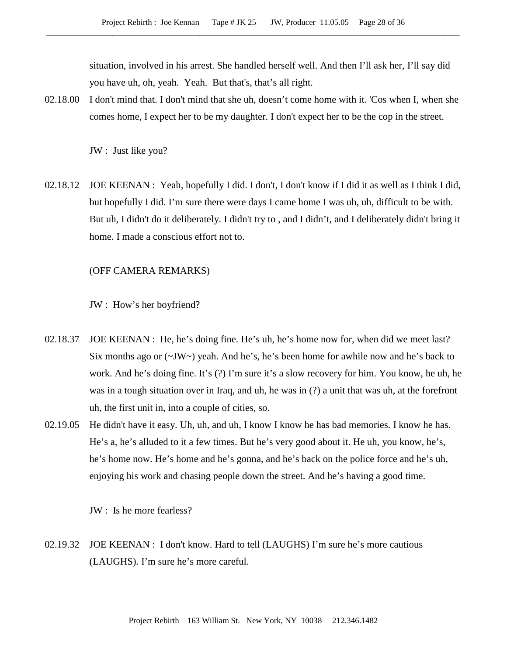situation, involved in his arrest. She handled herself well. And then I'll ask her, I'll say did you have uh, oh, yeah. Yeah. But that's, that's all right.

02.18.00 I don't mind that. I don't mind that she uh, doesn't come home with it. 'Cos when I, when she comes home, I expect her to be my daughter. I don't expect her to be the cop in the street.

JW : Just like you?

02.18.12 JOE KEENAN : Yeah, hopefully I did. I don't, I don't know if I did it as well as I think I did, but hopefully I did. I'm sure there were days I came home I was uh, uh, difficult to be with. But uh, I didn't do it deliberately. I didn't try to , and I didn't, and I deliberately didn't bring it home. I made a conscious effort not to.

#### (OFF CAMERA REMARKS)

JW : How's her boyfriend?

- 02.18.37 JOE KEENAN : He, he's doing fine. He's uh, he's home now for, when did we meet last? Six months ago or  $(\sim JW \sim)$  yeah. And he's, he's been home for awhile now and he's back to work. And he's doing fine. It's (?) I'm sure it's a slow recovery for him. You know, he uh, he was in a tough situation over in Iraq, and uh, he was in (?) a unit that was uh, at the forefront uh, the first unit in, into a couple of cities, so.
- 02.19.05 He didn't have it easy. Uh, uh, and uh, I know I know he has bad memories. I know he has. He's a, he's alluded to it a few times. But he's very good about it. He uh, you know, he's, he's home now. He's home and he's gonna, and he's back on the police force and he's uh, enjoying his work and chasing people down the street. And he's having a good time.

JW : Is he more fearless?

02.19.32 JOE KEENAN : I don't know. Hard to tell (LAUGHS) I'm sure he's more cautious (LAUGHS). I'm sure he's more careful.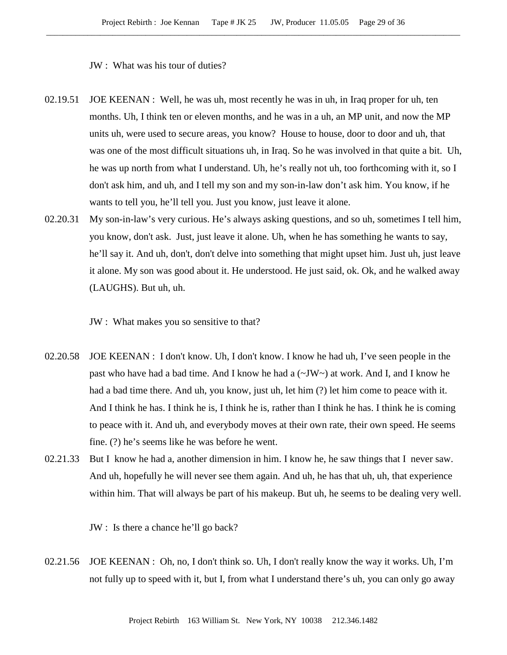JW : What was his tour of duties?

- 02.19.51 JOE KEENAN : Well, he was uh, most recently he was in uh, in Iraq proper for uh, ten months. Uh, I think ten or eleven months, and he was in a uh, an MP unit, and now the MP units uh, were used to secure areas, you know? House to house, door to door and uh, that was one of the most difficult situations uh, in Iraq. So he was involved in that quite a bit. Uh, he was up north from what I understand. Uh, he's really not uh, too forthcoming with it, so I don't ask him, and uh, and I tell my son and my son-in-law don't ask him. You know, if he wants to tell you, he'll tell you. Just you know, just leave it alone.
- 02.20.31 My son-in-law's very curious. He's always asking questions, and so uh, sometimes I tell him, you know, don't ask. Just, just leave it alone. Uh, when he has something he wants to say, he'll say it. And uh, don't, don't delve into something that might upset him. Just uh, just leave it alone. My son was good about it. He understood. He just said, ok. Ok, and he walked away (LAUGHS). But uh, uh.
	- JW : What makes you so sensitive to that?
- 02.20.58 JOE KEENAN : I don't know. Uh, I don't know. I know he had uh, I've seen people in the past who have had a bad time. And I know he had a (~JW~) at work. And I, and I know he had a bad time there. And uh, you know, just uh, let him (?) let him come to peace with it. And I think he has. I think he is, I think he is, rather than I think he has. I think he is coming to peace with it. And uh, and everybody moves at their own rate, their own speed. He seems fine. (?) he's seems like he was before he went.
- 02.21.33 But I know he had a, another dimension in him. I know he, he saw things that I never saw. And uh, hopefully he will never see them again. And uh, he has that uh, uh, that experience within him. That will always be part of his makeup. But uh, he seems to be dealing very well.

JW : Is there a chance he'll go back?

02.21.56 JOE KEENAN : Oh, no, I don't think so. Uh, I don't really know the way it works. Uh, I'm not fully up to speed with it, but I, from what I understand there's uh, you can only go away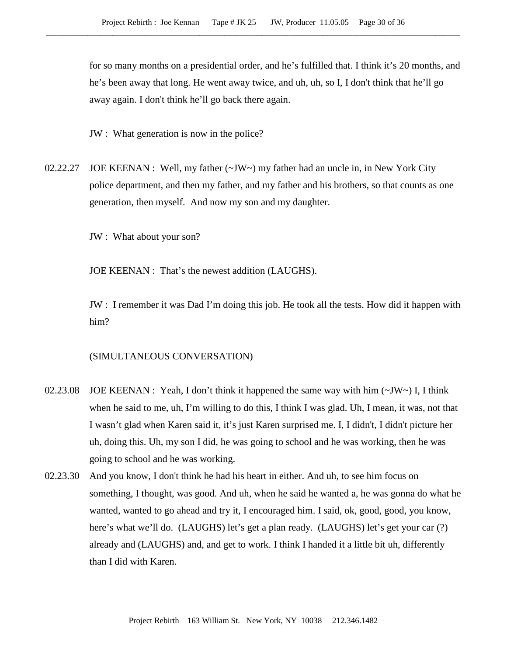for so many months on a presidential order, and he's fulfilled that. I think it's 20 months, and he's been away that long. He went away twice, and uh, uh, so I, I don't think that he'll go away again. I don't think he'll go back there again.

JW : What generation is now in the police?

02.22.27 JOE KEENAN : Well, my father (~JW~) my father had an uncle in, in New York City police department, and then my father, and my father and his brothers, so that counts as one generation, then myself. And now my son and my daughter.

JW : What about your son?

JOE KEENAN : That's the newest addition (LAUGHS).

JW : I remember it was Dad I'm doing this job. He took all the tests. How did it happen with him?

## (SIMULTANEOUS CONVERSATION)

- 02.23.08 JOE KEENAN : Yeah, I don't think it happened the same way with him  $(\sim JW \sim)$  I, I think when he said to me, uh, I'm willing to do this, I think I was glad. Uh, I mean, it was, not that I wasn't glad when Karen said it, it's just Karen surprised me. I, I didn't, I didn't picture her uh, doing this. Uh, my son I did, he was going to school and he was working, then he was going to school and he was working.
- 02.23.30 And you know, I don't think he had his heart in either. And uh, to see him focus on something, I thought, was good. And uh, when he said he wanted a, he was gonna do what he wanted, wanted to go ahead and try it, I encouraged him. I said, ok, good, good, you know, here's what we'll do. (LAUGHS) let's get a plan ready. (LAUGHS) let's get your car (?) already and (LAUGHS) and, and get to work. I think I handed it a little bit uh, differently than I did with Karen.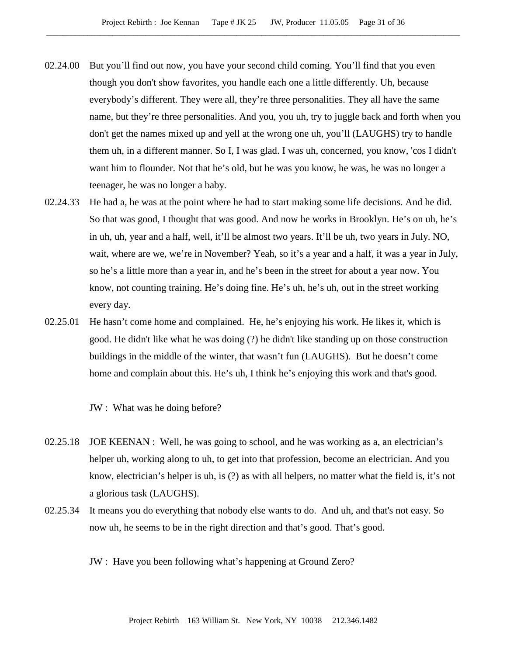- 02.24.00 But you'll find out now, you have your second child coming. You'll find that you even though you don't show favorites, you handle each one a little differently. Uh, because everybody's different. They were all, they're three personalities. They all have the same name, but they're three personalities. And you, you uh, try to juggle back and forth when you don't get the names mixed up and yell at the wrong one uh, you'll (LAUGHS) try to handle them uh, in a different manner. So I, I was glad. I was uh, concerned, you know, 'cos I didn't want him to flounder. Not that he's old, but he was you know, he was, he was no longer a teenager, he was no longer a baby.
- 02.24.33 He had a, he was at the point where he had to start making some life decisions. And he did. So that was good, I thought that was good. And now he works in Brooklyn. He's on uh, he's in uh, uh, year and a half, well, it'll be almost two years. It'll be uh, two years in July. NO, wait, where are we, we're in November? Yeah, so it's a year and a half, it was a year in July, so he's a little more than a year in, and he's been in the street for about a year now. You know, not counting training. He's doing fine. He's uh, he's uh, out in the street working every day.
- 02.25.01 He hasn't come home and complained. He, he's enjoying his work. He likes it, which is good. He didn't like what he was doing (?) he didn't like standing up on those construction buildings in the middle of the winter, that wasn't fun (LAUGHS). But he doesn't come home and complain about this. He's uh, I think he's enjoying this work and that's good.

JW : What was he doing before?

- 02.25.18 JOE KEENAN : Well, he was going to school, and he was working as a, an electrician's helper uh, working along to uh, to get into that profession, become an electrician. And you know, electrician's helper is uh, is (?) as with all helpers, no matter what the field is, it's not a glorious task (LAUGHS).
- 02.25.34 It means you do everything that nobody else wants to do. And uh, and that's not easy. So now uh, he seems to be in the right direction and that's good. That's good.
	- JW : Have you been following what's happening at Ground Zero?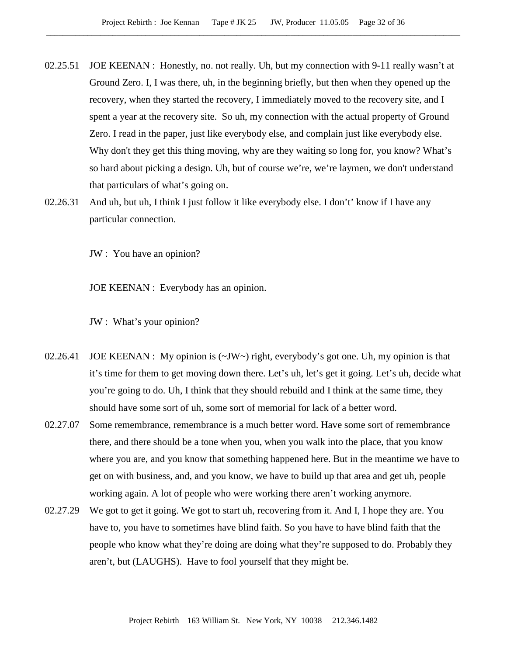- 02.25.51 JOE KEENAN : Honestly, no. not really. Uh, but my connection with 9-11 really wasn't at Ground Zero. I, I was there, uh, in the beginning briefly, but then when they opened up the recovery, when they started the recovery, I immediately moved to the recovery site, and I spent a year at the recovery site. So uh, my connection with the actual property of Ground Zero. I read in the paper, just like everybody else, and complain just like everybody else. Why don't they get this thing moving, why are they waiting so long for, you know? What's so hard about picking a design. Uh, but of course we're, we're laymen, we don't understand that particulars of what's going on.
- 02.26.31 And uh, but uh, I think I just follow it like everybody else. I don't' know if I have any particular connection.

JW : You have an opinion?

JOE KEENAN : Everybody has an opinion.

- JW : What's your opinion?
- 02.26.41 JOE KEENAN : My opinion is  $(\sim JW)$  right, everybody's got one. Uh, my opinion is that it's time for them to get moving down there. Let's uh, let's get it going. Let's uh, decide what you're going to do. Uh, I think that they should rebuild and I think at the same time, they should have some sort of uh, some sort of memorial for lack of a better word.
- 02.27.07 Some remembrance, remembrance is a much better word. Have some sort of remembrance there, and there should be a tone when you, when you walk into the place, that you know where you are, and you know that something happened here. But in the meantime we have to get on with business, and, and you know, we have to build up that area and get uh, people working again. A lot of people who were working there aren't working anymore.
- 02.27.29 We got to get it going. We got to start uh, recovering from it. And I, I hope they are. You have to, you have to sometimes have blind faith. So you have to have blind faith that the people who know what they're doing are doing what they're supposed to do. Probably they aren't, but (LAUGHS). Have to fool yourself that they might be.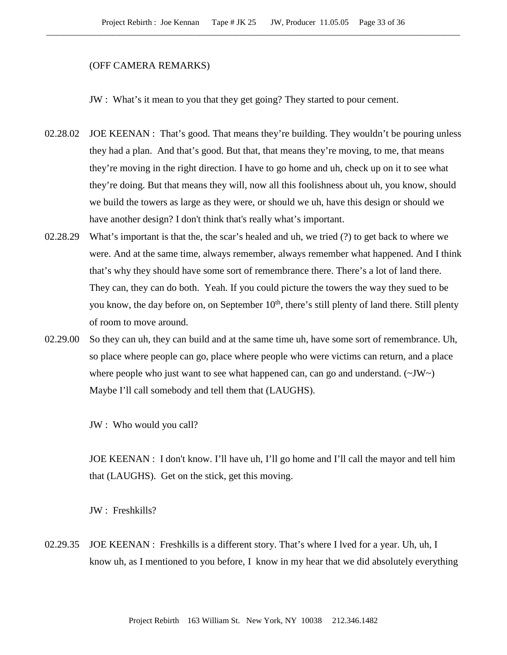#### (OFF CAMERA REMARKS)

JW : What's it mean to you that they get going? They started to pour cement.

- 02.28.02 JOE KEENAN : That's good. That means they're building. They wouldn't be pouring unless they had a plan. And that's good. But that, that means they're moving, to me, that means they're moving in the right direction. I have to go home and uh, check up on it to see what they're doing. But that means they will, now all this foolishness about uh, you know, should we build the towers as large as they were, or should we uh, have this design or should we have another design? I don't think that's really what's important.
- 02.28.29 What's important is that the, the scar's healed and uh, we tried (?) to get back to where we were. And at the same time, always remember, always remember what happened. And I think that's why they should have some sort of remembrance there. There's a lot of land there. They can, they can do both. Yeah. If you could picture the towers the way they sued to be you know, the day before on, on September  $10<sup>th</sup>$ , there's still plenty of land there. Still plenty of room to move around.
- 02.29.00 So they can uh, they can build and at the same time uh, have some sort of remembrance. Uh, so place where people can go, place where people who were victims can return, and a place where people who just want to see what happened can, can go and understand.  $(\sim JW)$ Maybe I'll call somebody and tell them that (LAUGHS).

JW : Who would you call?

JOE KEENAN : I don't know. I'll have uh, I'll go home and I'll call the mayor and tell him that (LAUGHS). Get on the stick, get this moving.

JW : Freshkills?

02.29.35 JOE KEENAN : Freshkills is a different story. That's where I lved for a year. Uh, uh, I know uh, as I mentioned to you before, I know in my hear that we did absolutely everything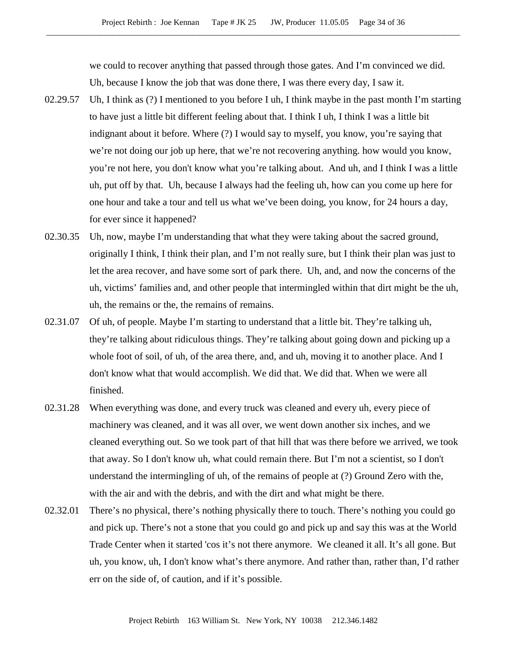we could to recover anything that passed through those gates. And I'm convinced we did. Uh, because I know the job that was done there, I was there every day, I saw it.

- 02.29.57 Uh, I think as (?) I mentioned to you before I uh, I think maybe in the past month I'm starting to have just a little bit different feeling about that. I think I uh, I think I was a little bit indignant about it before. Where (?) I would say to myself, you know, you're saying that we're not doing our job up here, that we're not recovering anything. how would you know, you're not here, you don't know what you're talking about. And uh, and I think I was a little uh, put off by that. Uh, because I always had the feeling uh, how can you come up here for one hour and take a tour and tell us what we've been doing, you know, for 24 hours a day, for ever since it happened?
- 02.30.35 Uh, now, maybe I'm understanding that what they were taking about the sacred ground, originally I think, I think their plan, and I'm not really sure, but I think their plan was just to let the area recover, and have some sort of park there. Uh, and, and now the concerns of the uh, victims' families and, and other people that intermingled within that dirt might be the uh, uh, the remains or the, the remains of remains.
- 02.31.07 Of uh, of people. Maybe I'm starting to understand that a little bit. They're talking uh, they're talking about ridiculous things. They're talking about going down and picking up a whole foot of soil, of uh, of the area there, and, and uh, moving it to another place. And I don't know what that would accomplish. We did that. We did that. When we were all finished.
- 02.31.28 When everything was done, and every truck was cleaned and every uh, every piece of machinery was cleaned, and it was all over, we went down another six inches, and we cleaned everything out. So we took part of that hill that was there before we arrived, we took that away. So I don't know uh, what could remain there. But I'm not a scientist, so I don't understand the intermingling of uh, of the remains of people at (?) Ground Zero with the, with the air and with the debris, and with the dirt and what might be there.
- 02.32.01 There's no physical, there's nothing physically there to touch. There's nothing you could go and pick up. There's not a stone that you could go and pick up and say this was at the World Trade Center when it started 'cos it's not there anymore. We cleaned it all. It's all gone. But uh, you know, uh, I don't know what's there anymore. And rather than, rather than, I'd rather err on the side of, of caution, and if it's possible.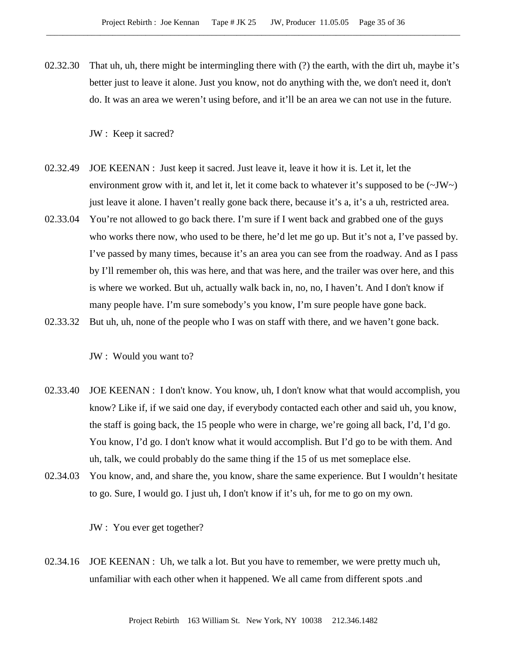02.32.30 That uh, uh, there might be intermingling there with (?) the earth, with the dirt uh, maybe it's better just to leave it alone. Just you know, not do anything with the, we don't need it, don't do. It was an area we weren't using before, and it'll be an area we can not use in the future.

JW : Keep it sacred?

- 02.32.49 JOE KEENAN : Just keep it sacred. Just leave it, leave it how it is. Let it, let the environment grow with it, and let it, let it come back to whatever it's supposed to be  $(\sim JW_{\sim})$ just leave it alone. I haven't really gone back there, because it's a, it's a uh, restricted area.
- 02.33.04 You're not allowed to go back there. I'm sure if I went back and grabbed one of the guys who works there now, who used to be there, he'd let me go up. But it's not a, I've passed by. I've passed by many times, because it's an area you can see from the roadway. And as I pass by I'll remember oh, this was here, and that was here, and the trailer was over here, and this is where we worked. But uh, actually walk back in, no, no, I haven't. And I don't know if many people have. I'm sure somebody's you know, I'm sure people have gone back.
- 02.33.32 But uh, uh, none of the people who I was on staff with there, and we haven't gone back.

JW : Would you want to?

- 02.33.40 JOE KEENAN : I don't know. You know, uh, I don't know what that would accomplish, you know? Like if, if we said one day, if everybody contacted each other and said uh, you know, the staff is going back, the 15 people who were in charge, we're going all back, I'd, I'd go. You know, I'd go. I don't know what it would accomplish. But I'd go to be with them. And uh, talk, we could probably do the same thing if the 15 of us met someplace else.
- 02.34.03 You know, and, and share the, you know, share the same experience. But I wouldn't hesitate to go. Sure, I would go. I just uh, I don't know if it's uh, for me to go on my own.

JW : You ever get together?

02.34.16 JOE KEENAN : Uh, we talk a lot. But you have to remember, we were pretty much uh, unfamiliar with each other when it happened. We all came from different spots .and